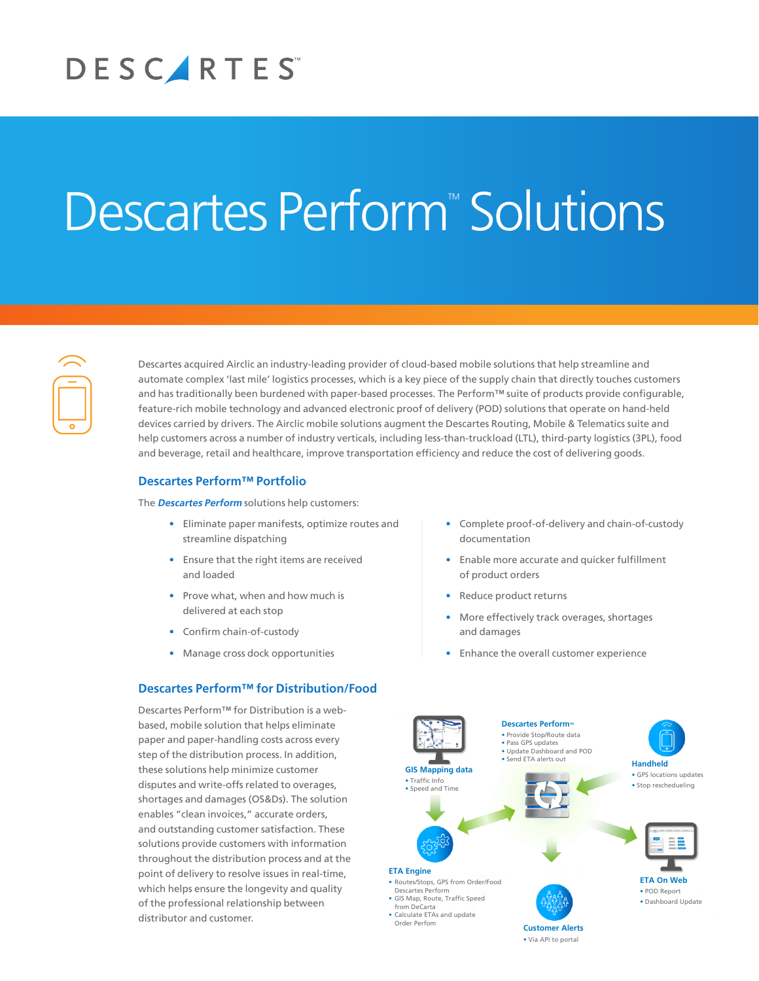# DESCARTES

# **Descartes Perform<sup>™</sup> Solutions**



Descartes acquired Airclic an industry-leading provider of cloud-based mobile solutions that help streamline and automate complex 'last mile' logistics processes, which is a key piece of the supply chain that directly touches customers and has traditionally been burdened with paper-based processes. The Perform™ suite of products provide configurable, feature-rich mobile technology and advanced electronic proof of delivery (POD) solutions that operate on hand-held devices carried by drivers. The Airclic mobile solutions augment the Descartes Routing, Mobile & Telematics suite and help customers across a number of industry verticals, including less-than-truckload (LTL), third-party logistics (3PL), food and beverage, retail and healthcare, improve transportation efficiency and reduce the cost of delivering goods.

## **Descartes Perform™ Portfolio**

The **Descartes Perform** solutions help customers:

- Eliminate paper manifests, optimize routes and streamline dispatching
- Ensure that the right items are received and loaded
- Prove what, when and how much is delivered at each stop
- Confirm chain-of-custody
- Manage cross dock opportunities

# **Descartes Perform™ for Distribution/Food**

Descartes Perform™ for Distribution is a webbased, mobile solution that helps eliminate paper and paper-handling costs across every step of the distribution process. In addition, these solutions help minimize customer disputes and write-offs related to overages, shortages and damages (OS&Ds). The solution enables "clean invoices," accurate orders, and outstanding customer satisfaction. These solutions provide customers with information throughout the distribution process and at the point of delivery to resolve issues in real-time, which helps ensure the longevity and quality of the professional relationship between distributor and customer.

- Complete proof-of-delivery and chain-of-custody documentation
- Enable more accurate and quicker fulfillment of product orders
- Reduce product returns
- More effectively track overages, shortages and damages
- Enhance the overall customer experience